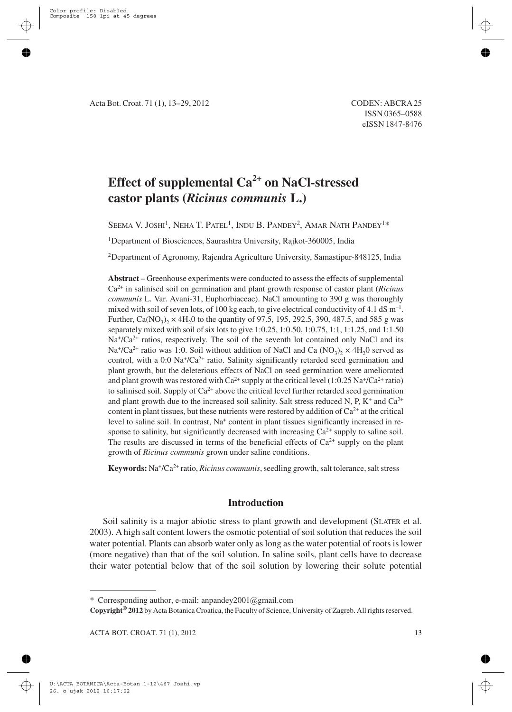# **Effect of supplemental Ca2+ on NaCl-stressed castor plants (***Ricinus communis* **L.)**

SEEMA V. JOSHI<sup>1</sup>, NEHA T. PATEL<sup>1</sup>, INDU B. PANDEY<sup>2</sup>, AMAR NATH PANDEY<sup>1\*</sup>

<sup>1</sup>Department of Biosciences, Saurashtra University, Rajkot-360005, India

2Department of Agronomy, Rajendra Agriculture University, Samastipur-848125, India

**Abstract** – Greenhouse experiments were conducted to assess the effects of supplemental Ca2+ in salinised soil on germination and plant growth response of castor plant (*Ricinus communis* L. Var. Avani-31, Euphorbiaceae). NaCl amounting to 390 g was thoroughly mixed with soil of seven lots, of 100 kg each, to give electrical conductivity of 4.1 dS  $m^{-1}$ . Further,  $Ca(NO_3)$ ,  $\times$  4H<sub>2</sub>0 to the quantity of 97.5, 195, 292.5, 390, 487.5, and 585 g was separately mixed with soil of six lots to give 1:0.25, 1:0.50, 1:0.75, 1:1, 1:1.25, and 1:1.50  $Na<sup>+</sup>/Ca<sup>2+</sup>$  ratios, respectively. The soil of the seventh lot contained only NaCl and its  $Na<sup>+</sup>/Ca<sup>2+</sup>$  ratio was 1:0. Soil without addition of NaCl and Ca (NO<sub>2</sub>)<sub>2</sub> × 4H<sub>2</sub>0 served as control, with a 0:0 Na<sup>+</sup>/Ca<sup>2+</sup> ratio. Salinity significantly retarded seed germination and plant growth, but the deleterious effects of NaCl on seed germination were ameliorated and plant growth was restored with  $Ca^{2+}$  supply at the critical level (1:0.25 Na<sup>+</sup>/Ca<sup>2+</sup> ratio) to salinised soil. Supply of  $Ca^{2+}$  above the critical level further retarded seed germination and plant growth due to the increased soil salinity. Salt stress reduced N, P,  $K^+$  and  $Ca^{2+}$ content in plant tissues, but these nutrients were restored by addition of  $Ca^{2+}$  at the critical level to saline soil. In contrast, Na<sup>+</sup> content in plant tissues significantly increased in response to salinity, but significantly decreased with increasing  $Ca^{2+}$  supply to saline soil. The results are discussed in terms of the beneficial effects of  $Ca^{2+}$  supply on the plant growth of *Ricinus communis* grown under saline conditions.

**Keywords:** Na+/Ca2+ ratio, *Ricinus communis*, seedling growth, salt tolerance, salt stress

## **Introduction**

Soil salinity is a major abiotic stress to plant growth and development (SLATER et al. 2003). A high salt content lowers the osmotic potential of soil solution that reduces the soil water potential. Plants can absorb water only as long as the water potential of roots is lower (more negative) than that of the soil solution. In saline soils, plant cells have to decrease their water potential below that of the soil solution by lowering their solute potential

**Copyright® 2012** by Acta Botanica Croatica, the Faculty of Science, University of Zagreb. All rights reserved.

<sup>\*</sup> Corresponding author, e-mail: anpandey2001@gmail.com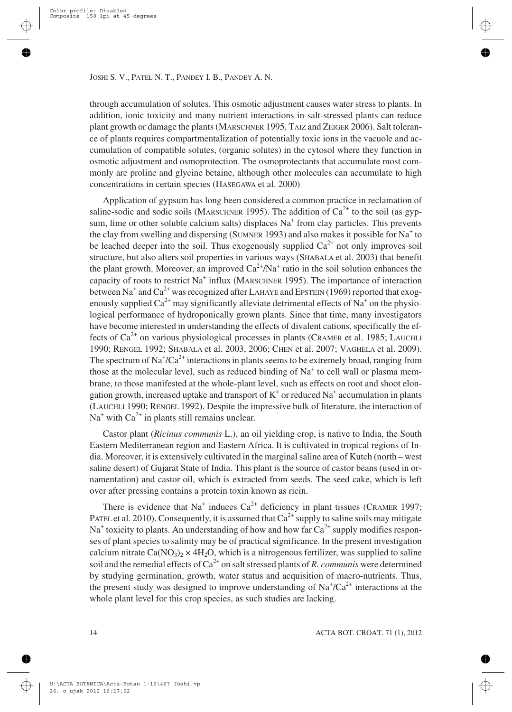through accumulation of solutes. This osmotic adjustment causes water stress to plants. In addition, ionic toxicity and many nutrient interactions in salt-stressed plants can reduce plant growth or damage the plants (MARSCHNER 1995, TAIZ and ZEIGER 2006). Salt tolerance of plants requires compartmentalization of potentially toxic ions in the vacuole and accumulation of compatible solutes, (organic solutes) in the cytosol where they function in osmotic adjustment and osmoprotection. The osmoprotectants that accumulate most commonly are proline and glycine betaine, although other molecules can accumulate to high concentrations in certain species (HASEGAWA et al. 2000)

Application of gypsum has long been considered a common practice in reclamation of saline-sodic and sodic soils (MARSCHNER 1995). The addition of  $Ca^{2+}$  to the soil (as gypsum, lime or other soluble calcium salts) displaces  $Na<sup>+</sup>$  from clay particles. This prevents the clay from swelling and dispersing (SUMNER 1993) and also makes it possible for  $Na<sup>+</sup>$  to be leached deeper into the soil. Thus exogenously supplied  $Ca<sup>2+</sup>$  not only improves soil structure, but also alters soil properties in various ways (SHABALA et al. 2003) that benefit the plant growth. Moreover, an improved  $Ca^{2+}/Na^{+}$  ratio in the soil solution enhances the capacity of roots to restrict  $Na<sup>+</sup>$  influx (MARSCHNER 1995). The importance of interaction between Na<sup>+</sup> and Ca<sup>2+</sup> was recognized after LAHAYE and EPSTEIN (1969) reported that exogenously supplied  $Ca^{2+}$  may significantly alleviate detrimental effects of Na<sup>+</sup> on the physiological performance of hydroponically grown plants. Since that time, many investigators have become interested in understanding the effects of divalent cations, specifically the effects of  $Ca^{2+}$  on various physiological processes in plants (CRAMER et al. 1985; LAUCHLI 1990; RENGEL 1992; SHABALA et al. 2003, 2006; CHEN et al. 2007; VAGHELA et al. 2009). The spectrum of  $\text{Na}^{\dagger}/\text{Ca}^{2+}$  interactions in plants seems to be extremely broad, ranging from those at the molecular level, such as reduced binding of  $Na<sup>+</sup>$  to cell wall or plasma membrane, to those manifested at the whole-plant level, such as effects on root and shoot elongation growth, increased uptake and transport of  $K^+$  or reduced Na<sup>+</sup> accumulation in plants (LAUCHLI 1990; RENGEL 1992). Despite the impressive bulk of literature, the interaction of  $Na<sup>+</sup>$  with  $Ca<sup>2+</sup>$  in plants still remains unclear.

Castor plant (*Ricinus communis* L.), an oil yielding crop, is native to India, the South Eastern Mediterranean region and Eastern Africa. It is cultivated in tropical regions of India. Moreover, it is extensively cultivated in the marginal saline area of Kutch (north – west saline desert) of Gujarat State of India. This plant is the source of castor beans (used in ornamentation) and castor oil, which is extracted from seeds. The seed cake, which is left over after pressing contains a protein toxin known as ricin.

There is evidence that  $Na^+$  induces  $Ca^{2+}$  deficiency in plant tissues (CRAMER 1997; PATEL et al. 2010). Consequently, it is assumed that  $Ca^{2+}$  supply to saline soils may mitigate  $Na<sup>+</sup>$  toxicity to plants. An understanding of how and how far  $Ca<sup>2+</sup>$  supply modifies responses of plant species to salinity may be of practical significance. In the present investigation calcium nitrate  $Ca(NO<sub>3</sub>)<sub>2</sub> \times 4H<sub>2</sub>O$ , which is a nitrogenous fertilizer, was supplied to saline soil and the remedial effects of  $Ca^{2+}$  on salt stressed plants of *R. communis* were determined by studying germination, growth, water status and acquisition of macro-nutrients. Thus, the present study was designed to improve understanding of  $Na<sup>+</sup>/Ca<sup>2+</sup>$  interactions at the whole plant level for this crop species, as such studies are lacking.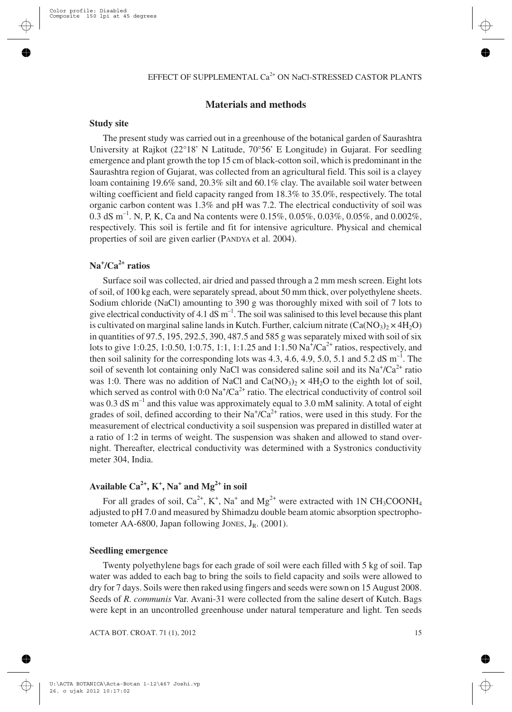# **Materials and methods**

#### **Study site**

The present study was carried out in a greenhouse of the botanical garden of Saurashtra University at Rajkot (22°18' N Latitude, 70°56' E Longitude) in Gujarat. For seedling emergence and plant growth the top 15 cm of black-cotton soil, which is predominant in the Saurashtra region of Gujarat, was collected from an agricultural field. This soil is a clayey loam containing 19.6% sand, 20.3% silt and 60.1% clay. The available soil water between wilting coefficient and field capacity ranged from 18.3% to 35.0%, respectively. The total organic carbon content was 1.3% and pH was 7.2. The electrical conductivity of soil was 0.3 dS m<sup>-1</sup>. N, P, K, Ca and Na contents were 0.15%, 0.05%, 0.03%, 0.05%, and 0.002%, respectively. This soil is fertile and fit for intensive agriculture. Physical and chemical properties of soil are given earlier (PANDYA et al. 2004).

# **Na<sup>+</sup> /Ca2+ ratios**

Surface soil was collected, air dried and passed through a 2 mm mesh screen. Eight lots of soil, of 100 kg each, were separately spread, about 50 mm thick, over polyethylene sheets. Sodium chloride (NaCl) amounting to 390 g was thoroughly mixed with soil of 7 lots to give electrical conductivity of 4.1  $dS$  m<sup>-1</sup>. The soil was salinised to this level because this plant is cultivated on marginal saline lands in Kutch. Further, calcium nitrate  $(Ca(NO<sub>3</sub>)<sub>2</sub> × 4H<sub>2</sub>O)$ in quantities of 97.5, 195, 292.5, 390, 487.5 and 585 g was separately mixed with soil of six lots to give 1:0.25, 1:0.50, 1:0.75, 1:1, 1:1.25 and 1:1.50  $\text{Na}^+\text{/Ca}^{2+}$  ratios, respectively, and then soil salinity for the corresponding lots was 4.3, 4.6, 4.9, 5.0, 5.1 and 5.2 dS  $\text{m}^{-1}$ . The soil of seventh lot containing only NaCl was considered saline soil and its  $Na^{\dagger}/Ca^{2+}$  ratio was 1:0. There was no addition of NaCl and  $Ca(NO<sub>3</sub>)<sub>2</sub> \times 4H<sub>2</sub>O$  to the eighth lot of soil, which served as control with  $0.0$  Na<sup>+</sup>/Ca<sup>2+</sup> ratio. The electrical conductivity of control soil was 0.3 dS  $m^{-1}$  and this value was approximately equal to 3.0 mM salinity. A total of eight grades of soil, defined according to their  $Na<sup>+</sup>/Ca<sup>2+</sup>$  ratios, were used in this study. For the measurement of electrical conductivity a soil suspension was prepared in distilled water at a ratio of 1:2 in terms of weight. The suspension was shaken and allowed to stand overnight. Thereafter, electrical conductivity was determined with a Systronics conductivity meter 304, India.

# **Available Ca2+, K+ , Na<sup>+</sup> and Mg2+ in soil**

For all grades of soil,  $Ca^{2+}$ ,  $K^+$ , Na<sup>+</sup> and Mg<sup>2+</sup> were extracted with 1N CH<sub>3</sub>COONH<sub>4</sub> adjusted to pH 7.0 and measured by Shimadzu double beam atomic absorption spectrophotometer AA-6800, Japan following JONES,  $J_R$ . (2001).

#### **Seedling emergence**

Twenty polyethylene bags for each grade of soil were each filled with 5 kg of soil. Tap water was added to each bag to bring the soils to field capacity and soils were allowed to dry for 7 days. Soils were then raked using fingers and seeds were sown on 15 August 2008. Seeds of *R. communis* Var. Avani-31 were collected from the saline desert of Kutch. Bags were kept in an uncontrolled greenhouse under natural temperature and light. Ten seeds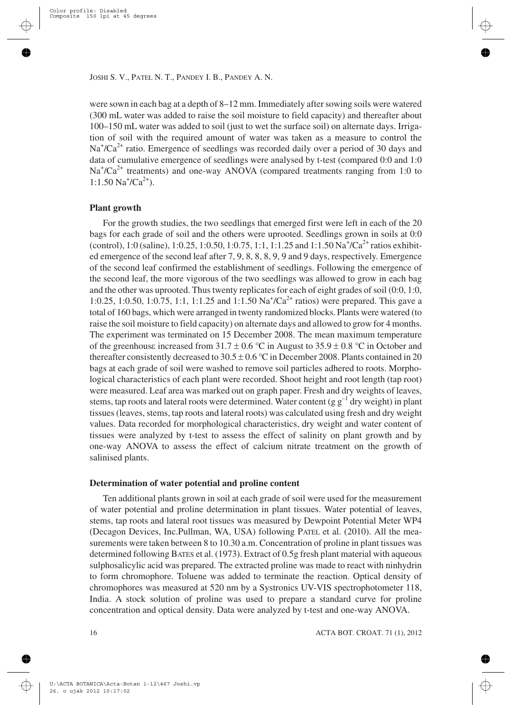were sown in each bag at a depth of 8–12 mm. Immediately after sowing soils were watered (300 mL water was added to raise the soil moisture to field capacity) and thereafter about 100–150 mL water was added to soil (just to wet the surface soil) on alternate days. Irrigation of soil with the required amount of water was taken as a measure to control the  $Na<sup>+</sup>/Ca<sup>2+</sup>$  ratio. Emergence of seedlings was recorded daily over a period of 30 days and data of cumulative emergence of seedlings were analysed by t-test (compared 0:0 and 1:0  $Na<sup>+</sup>/Ca<sup>2+</sup>$  treatments) and one-way ANOVA (compared treatments ranging from 1:0 to  $1:1.50$  Na<sup>+</sup>/Ca<sup>2+</sup>).

#### **Plant growth**

For the growth studies, the two seedlings that emerged first were left in each of the 20 bags for each grade of soil and the others were uprooted. Seedlings grown in soils at 0:0 (control), 1:0 (saline), 1:0.25, 1:0.50, 1:0.75, 1:1, 1:1.25 and 1:1.50 Na<sup>+</sup>/Ca<sup>2+</sup> ratios exhibited emergence of the second leaf after 7, 9, 8, 8, 8, 9, 9 and 9 days, respectively. Emergence of the second leaf confirmed the establishment of seedlings. Following the emergence of the second leaf, the more vigorous of the two seedlings was allowed to grow in each bag and the other was uprooted. Thus twenty replicates for each of eight grades of soil (0:0, 1:0, 1:0.25, 1:0.50, 1:0.75, 1:1, 1:1.25 and 1:1.50  $\text{Na}^+\text{/Ca}^{2+}$  ratios) were prepared. This gave a total of 160 bags, which were arranged in twenty randomized blocks. Plants were watered (to raise the soil moisture to field capacity) on alternate days and allowed to grow for 4 months. The experiment was terminated on 15 December 2008. The mean maximum temperature of the greenhouse increased from  $31.7 \pm 0.6$  °C in August to  $35.9 \pm 0.8$  °C in October and thereafter consistently decreased to  $30.5 \pm 0.6$  °C in December 2008. Plants contained in 20 bags at each grade of soil were washed to remove soil particles adhered to roots. Morphological characteristics of each plant were recorded. Shoot height and root length (tap root) were measured. Leaf area was marked out on graph paper. Fresh and dry weights of leaves, stems, tap roots and lateral roots were determined. Water content (g  $g^{-1}$  dry weight) in plant tissues (leaves, stems, tap roots and lateral roots) was calculated using fresh and dry weight values. Data recorded for morphological characteristics, dry weight and water content of tissues were analyzed by t-test to assess the effect of salinity on plant growth and by one-way ANOVA to assess the effect of calcium nitrate treatment on the growth of salinised plants.

#### **Determination of water potential and proline content**

Ten additional plants grown in soil at each grade of soil were used for the measurement of water potential and proline determination in plant tissues. Water potential of leaves, stems, tap roots and lateral root tissues was measured by Dewpoint Potential Meter WP4 (Decagon Devices, Inc.Pullman, WA, USA) following PATEL et al. (2010). All the measurements were taken between 8 to 10.30 a.m. Concentration of proline in plant tissues was determined following BATES et al. (1973). Extract of 0.5g fresh plant material with aqueous sulphosalicylic acid was prepared. The extracted proline was made to react with ninhydrin to form chromophore. Toluene was added to terminate the reaction. Optical density of chromophores was measured at 520 nm by a Systronics UV-VIS spectrophotometer 118, India. A stock solution of proline was used to prepare a standard curve for proline concentration and optical density. Data were analyzed by t-test and one-way ANOVA.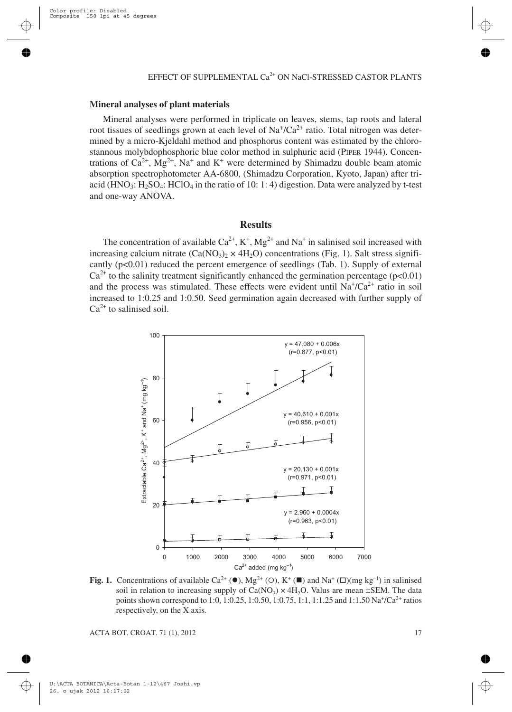#### **Mineral analyses of plant materials**

Mineral analyses were performed in triplicate on leaves, stems, tap roots and lateral root tissues of seedlings grown at each level of  $Na^{\dagger}/Ca^{2+}$  ratio. Total nitrogen was determined by a micro-Kjeldahl method and phosphorus content was estimated by the chlorostannous molybdophosphoric blue color method in sulphuric acid (PIPER 1944). Concentrations of  $Ca^{2+}$ ,  $Mg^{2+}$ , Na<sup>+</sup> and K<sup>+</sup> were determined by Shimadzu double beam atomic absorption spectrophotometer AA-6800, (Shimadzu Corporation, Kyoto, Japan) after triacid (HNO<sub>3</sub>: H<sub>2</sub>SO<sub>4</sub>: HClO<sub>4</sub> in the ratio of 10: 1: 4) digestion. Data were analyzed by t-test and one-way ANOVA.

## **Results**

The concentration of available  $Ca^{2+}$ ,  $K^+$ ,  $Mg^{2+}$  and  $Na^+$  in salinised soil increased with increasing calcium nitrate  $(Ca(NO_3)_{2} \times 4H_2O)$  concentrations (Fig. 1). Salt stress significantly  $(p<0.01)$  reduced the percent emergence of seedlings (Tab. 1). Supply of external  $Ca^{2+}$  to the salinity treatment significantly enhanced the germination percentage (p<0.01) and the process was stimulated. These effects were evident until  $Na<sup>+</sup>/Ca<sup>2+</sup>$  ratio in soil increased to 1:0.25 and 1:0.50. Seed germination again decreased with further supply of  $Ca<sup>2+</sup>$  to salinised soil.



**Fig. 1.** Concentrations of available Ca<sup>2+</sup> ( $\bullet$ ), Mg<sup>2+</sup> (O), K<sup>+</sup> ( $\blacksquare$ ) and Na<sup>+</sup> ( $\Box$ )(mg kg<sup>-1</sup>) in salinised soil in relation to increasing supply of  $Ca(NO<sub>3</sub>) \times 4H<sub>2</sub>O$ . Valus are mean  $\pm$ SEM. The data points shown correspond to 1:0, 1:0.25, 1:0.50, 1:0.75, 1:1, 1:1.25 and 1:1.50 Na+/Ca<sup>2+</sup> ratios respectively, on the X axis.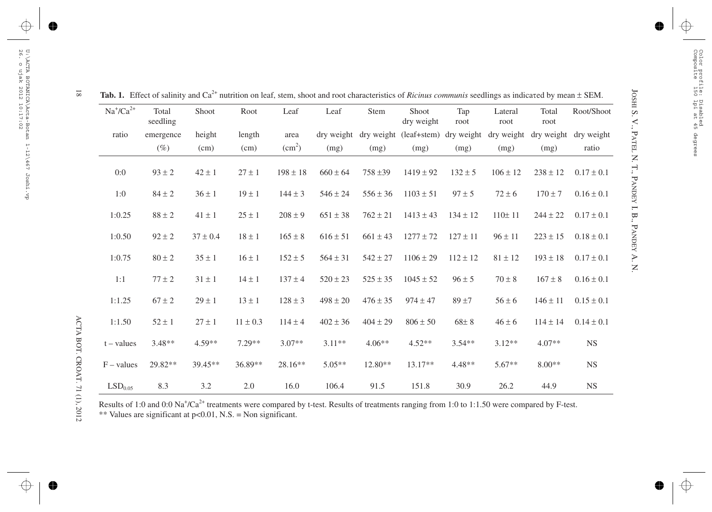| $Na^{\dagger}/Ca^{2+}$ | Total<br>seedling | Shoot        | Root         | Leaf               | Leaf         | Stem         | Shoot<br>dry weight    | Tap<br>root  | Lateral<br>root       | Total<br>root | Root/Shoot            |
|------------------------|-------------------|--------------|--------------|--------------------|--------------|--------------|------------------------|--------------|-----------------------|---------------|-----------------------|
| ratio                  | emergence         | height       | length       | area               | dry weight   |              | dry weight (leaf+stem) |              | dry weight dry weight |               | dry weight dry weight |
|                        | $(\%)$            | (cm)         | (cm)         | (cm <sup>2</sup> ) | (mg)         | (mg)         | (mg)                   | (mg)         | (mg)                  | (mg)          | ratio                 |
| 0:0                    | $93 \pm 2$        | $42 \pm 1$   | $27 \pm 1$   | $198 \pm 18$       | $660 \pm 64$ | $758 \pm 39$ | $1419 \pm 92$          | $132 \pm 5$  | $106 \pm 12$          | $238 \pm 12$  | $0.17 \pm 0.1$        |
| 1:0                    | $84 \pm 2$        | $36 \pm 1$   | $19 \pm 1$   | $144 \pm 3$        | $546 \pm 24$ | $556 \pm 36$ | $1103 \pm 51$          | $97 \pm 5$   | $72 \pm 6$            | $170 \pm 7$   | $0.16 \pm 0.1$        |
| 1:0.25                 | $88 \pm 2$        | $41 \pm 1$   | $25\pm1$     | $208 \pm 9$        | $651 \pm 38$ | $762 \pm 21$ | $1413 \pm 43$          | $134 \pm 12$ | 110±11                | $244 \pm 22$  | $0.17 \pm 0.1$        |
| 1:0.50                 | $92 \pm 2$        | $37 \pm 0.4$ | $18 \pm 1$   | $165 \pm 8$        | $616 \pm 51$ | $661 \pm 43$ | $1277 \pm 72$          | $127 \pm 11$ | $96 \pm 11$           | $223 \pm 15$  | $0.18 \pm 0.1$        |
| 1:0.75                 | $80 \pm 2$        | $35 \pm 1$   | $16 \pm 1$   | $152 \pm 5$        | $564 \pm 31$ | $542 \pm 27$ | $1106 \pm 29$          | $112 \pm 12$ | $81 \pm 12$           | $193 \pm 18$  | $0.17 \pm 0.1$        |
| 1:1                    | $77 \pm 2$        | $31 \pm 1$   | $14 \pm 1$   | $137 \pm 4$        | $520 \pm 23$ | $525 \pm 35$ | $1045 \pm 52$          | $96 \pm 5$   | $70 \pm 8$            | $167 \pm 8$   | $0.16 \pm 0.1$        |
| 1:1.25                 | $67 \pm 2$        | $29 \pm 1$   | $13 \pm 1$   | $128 \pm 3$        | $498 \pm 20$ | $476 \pm 35$ | $974 \pm 47$           | $89 + 7$     | $56 \pm 6$            | $146 \pm 11$  | $0.15 \pm 0.1$        |
| 1:1.50                 | $52 \pm 1$        | $27 \pm 1$   | $11 \pm 0.3$ | $114 \pm 4$        | $402 \pm 36$ | $404 \pm 29$ | $806 \pm 50$           | $68\pm8$     | $46 \pm 6$            | $114 \pm 14$  | $0.14 \pm 0.1$        |
| $t - values$           | $3.48**$          | $4.59**$     | $7.29**$     | $3.07**$           | $3.11**$     | $4.06**$     | $4.52**$               | $3.54**$     | $3.12**$              | $4.07**$      | <b>NS</b>             |
| $F - values$           | 29.82**           | $39.45**$    | 36.89**      | $28.16**$          | $5.05**$     | $12.80**$    | $13.17**$              | $4.48**$     | $5.67**$              | $8.00**$      | <b>NS</b>             |
| LSD <sub>0.05</sub>    | 8.3               | 3.2          | $2.0\,$      | 16.0               | 106.4        | 91.5         | 151.8                  | 30.9         | 26.2                  | 44.9          | <b>NS</b>             |

 $\overline{\bf 8}$ ± SEM.

Results of 1:0 and 0:0 Na<sup>+</sup>/Ca<sup>2+</sup> treatments were compared by t-test. Results of treatments ranging from 1:0 to 1:1.50 were compared by F-test. \*\* Values are significant at p<0.01, N.S. <sup>=</sup> Non significant.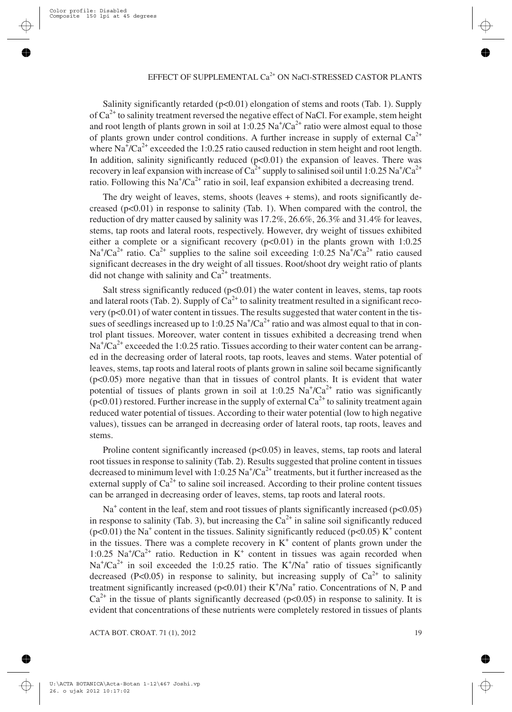Salinity significantly retarded  $(p<0.01)$  elongation of stems and roots (Tab. 1). Supply of Ca2+ to salinity treatment reversed the negative effect of NaCl. For example, stem height and root length of plants grown in soil at 1:0.25  $\text{Na}^+\text{/Ca}^{2+}$  ratio were almost equal to those of plants grown under control conditions. A further increase in supply of external  $Ca^{2+}$ where  $\text{Na}^+\text{/Ca}^2$ + exceeded the 1:0.25 ratio caused reduction in stem height and root length. In addition, salinity significantly reduced  $(p<0.01)$  the expansion of leaves. There was recovery in leaf expansion with increase of Ca<sup>2+</sup> supply to salinised soil until 1:0.25 Na<sup>+</sup>/Ca<sup>2+</sup> ratio. Following this Na<sup>+</sup>/Ca<sup>2+</sup> ratio in soil, leaf expansion exhibited a decreasing trend.

The dry weight of leaves, stems, shoots (leaves + stems), and roots significantly decreased  $(p<0.01)$  in response to salinity (Tab. 1). When compared with the control, the reduction of dry matter caused by salinity was 17.2%, 26.6%, 26.3% and 31.4% for leaves, stems, tap roots and lateral roots, respectively. However, dry weight of tissues exhibited either a complete or a significant recovery  $(p<0.01)$  in the plants grown with 1:0.25 Na<sup>+</sup>/Ca<sup>2+</sup> ratio. Ca<sup>2+</sup> supplies to the saline soil exceeding 1:0.25 Na<sup>+</sup>/Ca<sup>2+</sup> ratio caused significant decreases in the dry weight of all tissues. Root/shoot dry weight ratio of plants did not change with salinity and  $Ca^{2+}$  treatments.

Salt stress significantly reduced  $(p<0.01)$  the water content in leaves, stems, tap roots and lateral roots (Tab. 2). Supply of  $Ca^{2+}$  to salinity treatment resulted in a significant recovery (p<0.01) of water content in tissues. The results suggested that water content in the tissues of seedlings increased up to 1:0.25  $\text{Na}^+\text{/Ca}^{2+}$  ratio and was almost equal to that in control plant tissues. Moreover, water content in tissues exhibited a decreasing trend when  $\text{Na}^+\text{/Ca}^{\text{2+}}$  exceeded the 1:0.25 ratio. Tissues according to their water content can be arranged in the decreasing order of lateral roots, tap roots, leaves and stems. Water potential of leaves, stems, tap roots and lateral roots of plants grown in saline soil became significantly (p<0.05) more negative than that in tissues of control plants. It is evident that water potential of tissues of plants grown in soil at 1:0.25  $\text{Na}^{\dagger}/\text{Ca}^{2+}$  ratio was significantly  $(p<0.01)$  restored. Further increase in the supply of external Ca<sup>2+</sup> to salinity treatment again reduced water potential of tissues. According to their water potential (low to high negative values), tissues can be arranged in decreasing order of lateral roots, tap roots, leaves and stems.

Proline content significantly increased  $(p<0.05)$  in leaves, stems, tap roots and lateral root tissues in response to salinity (Tab. 2). Results suggested that proline content in tissues decreased to minimum level with 1:0.25  $\mathrm{Na^+/Ca^{2+}}$  treatments, but it further increased as the external supply of  $Ca^{2+}$  to saline soil increased. According to their proline content tissues can be arranged in decreasing order of leaves, stems, tap roots and lateral roots.

 $Na<sup>+</sup>$  content in the leaf, stem and root tissues of plants significantly increased (p<0.05) in response to salinity (Tab. 3), but increasing the  $Ca^{2+}$  in saline soil significantly reduced ( $p<0.01$ ) the Na<sup>+</sup> content in the tissues. Salinity significantly reduced ( $p<0.05$ ) K<sup>+</sup> content in the tissues. There was a complete recovery in  $K^+$  content of plants grown under the 1:0.25 Na<sup>+</sup>/Ca<sup>2+</sup> ratio. Reduction in K<sup>+</sup> content in tissues was again recorded when  $Na^{+}/Ca^{2+}$  in soil exceeded the 1:0.25 ratio. The K<sup>+</sup>/Na<sup>+</sup> ratio of tissues significantly decreased (P<0.05) in response to salinity, but increasing supply of  $Ca^{2+}$  to salinity treatment significantly increased ( $p<0.01$ ) their K<sup>+</sup>/Na<sup>+</sup> ratio. Concentrations of N, P and  $Ca^{2+}$  in the tissue of plants significantly decreased (p<0.05) in response to salinity. It is evident that concentrations of these nutrients were completely restored in tissues of plants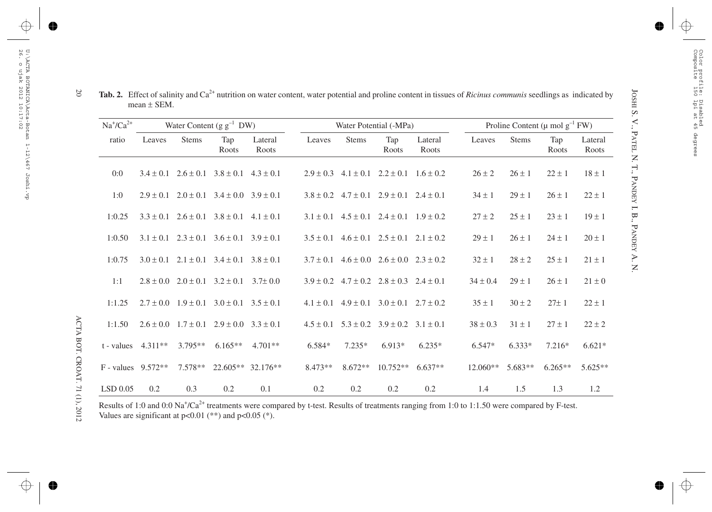| $Na^{\dagger}/Ca^{2+}$ | Water Content $(g g^{-1} DW)$ |              |                                                         |                   |           |              | Water Potential (-MPa)                                  |                  | Proline Content ( $\mu$ mol $g^{-1}$ FW) |            |              |                  |
|------------------------|-------------------------------|--------------|---------------------------------------------------------|-------------------|-----------|--------------|---------------------------------------------------------|------------------|------------------------------------------|------------|--------------|------------------|
| ratio                  | Leaves                        | <b>Stems</b> | Tap<br>Roots                                            | Lateral<br>Roots  | Leaves    | <b>Stems</b> | Tap<br>Roots                                            | Lateral<br>Roots | Leaves                                   | Stems      | Tap<br>Roots | Lateral<br>Roots |
| 0:0                    |                               |              | $3.4 \pm 0.1$ $2.6 \pm 0.1$ $3.8 \pm 0.1$ $4.3 \pm 0.1$ |                   |           |              | $2.9 \pm 0.3$ $4.1 \pm 0.1$ $2.2 \pm 0.1$ $1.6 \pm 0.2$ |                  | $26 \pm 2$                               | $26 \pm 1$ | $22 \pm 1$   | $18 \pm 1$       |
| 1:0                    |                               |              | $2.9 \pm 0.1$ $2.0 \pm 0.1$ $3.4 \pm 0.0$ $3.9 \pm 0.1$ |                   |           |              | $3.8 \pm 0.2$ $4.7 \pm 0.1$ $2.9 \pm 0.1$ $2.4 \pm 0.1$ |                  | $34 \pm 1$                               | $29 \pm 1$ | $26 \pm 1$   | $22 \pm 1$       |
| 1:0.25                 |                               |              | $3.3 \pm 0.1$ $2.6 \pm 0.1$ $3.8 \pm 0.1$ $4.1 \pm 0.1$ |                   |           |              | $3.1 \pm 0.1$ $4.5 \pm 0.1$ $2.4 \pm 0.1$ $1.9 \pm 0.2$ |                  | $27 \pm 2$                               | $25 \pm 1$ | $23 \pm 1$   | $19 \pm 1$       |
| 1:0.50                 |                               |              | $3.1 \pm 0.1$ $2.3 \pm 0.1$ $3.6 \pm 0.1$ $3.9 \pm 0.1$ |                   |           |              | $3.5 \pm 0.1$ $4.6 \pm 0.1$ $2.5 \pm 0.1$ $2.1 \pm 0.2$ |                  | $29 \pm 1$                               | $26 \pm 1$ | $24 \pm 1$   | $20 \pm 1$       |
| 1:0.75                 |                               |              | $3.0 \pm 0.1$ $2.1 \pm 0.1$ $3.4 \pm 0.1$ $3.8 \pm 0.1$ |                   |           |              | $3.7 \pm 0.1$ $4.6 \pm 0.0$ $2.6 \pm 0.0$ $2.3 \pm 0.2$ |                  | $32 \pm 1$                               | $28 \pm 2$ | $25 \pm 1$   | $21 \pm 1$       |
| 1:1                    |                               |              | $2.8 \pm 0.0$ $2.0 \pm 0.1$ $3.2 \pm 0.1$ $3.7 \pm 0.0$ |                   |           |              | $3.9 \pm 0.2$ $4.7 \pm 0.2$ $2.8 \pm 0.3$ $2.4 \pm 0.1$ |                  | $34 \pm 0.4$                             | $29 \pm 1$ | $26 \pm 1$   | $21 \pm 0$       |
| 1:1.25                 |                               |              | $2.7 \pm 0.0$ $1.9 \pm 0.1$ $3.0 \pm 0.1$ $3.5 \pm 0.1$ |                   |           |              | $4.1 \pm 0.1$ $4.9 \pm 0.1$ $3.0 \pm 0.1$ $2.7 \pm 0.2$ |                  | $35 \pm 1$                               | $30 \pm 2$ | $27 \pm 1$   | $22 \pm 1$       |
| 1:1.50                 |                               |              | $2.6 \pm 0.0$ $1.7 \pm 0.1$ $2.9 \pm 0.0$ $3.3 \pm 0.1$ |                   |           |              | $4.5 \pm 0.1$ $5.3 \pm 0.2$ $3.9 \pm 0.2$ $3.1 \pm 0.1$ |                  | $38 \pm 0.3$                             | $31 \pm 1$ | $27 \pm 1$   | $22 \pm 2$       |
|                        | $t$ - values $4.311**$        | $3.795**$    | $6.165**$                                               | $4.701**$         | $6.584*$  | $7.235*$     | $6.913*$                                                | $6.235*$         | $6.547*$                                 | $6.333*$   | $7.216*$     | $6.621*$         |
|                        | $F - values$ 9.572**          | $7.578**$    |                                                         | 22.605** 32.176** | $8.473**$ | $8.672**$    | $10.752**$                                              | $6.637**$        | $12.060**$                               | $5.683**$  | $6.265**$    | $5.625**$        |
| $LSD$ 0.05             | 0.2                           | 0.3          | 0.2                                                     | 0.1               | 0.2       | 0.2          | 0.2                                                     | 0.2              | 1.4                                      | 1.5        | 1.3          | 1.2              |

 $\infty$ ± SEM.

Results of 1:0 and 0:0 Na<sup>+</sup>/Ca<sup>2+</sup> treatments were compared by t-test. Results of treatments ranging from 1:0 to 1:1.50 were compared by F-test. Values are significant at  $p<0.01$  (\*\*) and  $p<0.05$  (\*).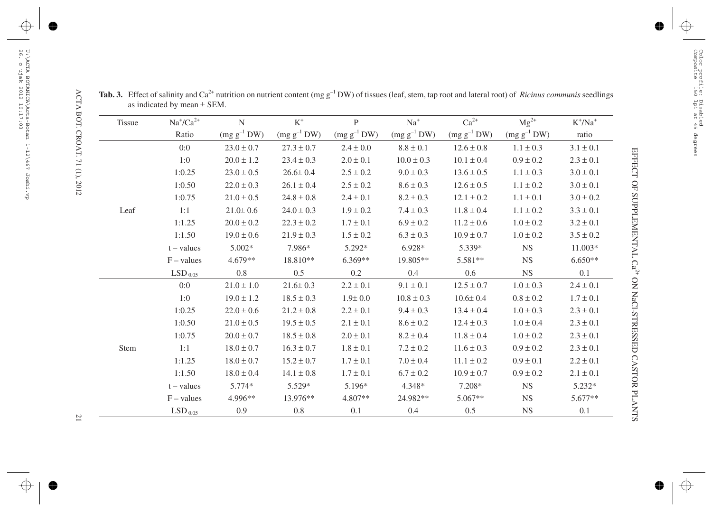| <b>Tissue</b> | $\rm Na^+\!/\rm Ca^{2+}$ | $\mathbf N$      | $\mbox{K}^+$     | $\mathbf{P}$     | $\mathrm{Na}^+$  | $Ca^{2+}$        | $Mg^{2+}$        | $\rm K^+ / \rm Na^+$ |
|---------------|--------------------------|------------------|------------------|------------------|------------------|------------------|------------------|----------------------|
|               | Ratio                    | $(mg g^{-1} DW)$ | $(mg g^{-1} DW)$ | $(mg g^{-1} DW)$ | $(mg g^{-1} DW)$ | $(mg g^{-1} DW)$ | $(mg g^{-1} DW)$ | ratio                |
|               | 0:0                      | $23.0 \pm 0.7$   | $27.3 \pm 0.7$   | $2.4 \pm 0.0$    | $8.8 \pm 0.1$    | $12.6 \pm 0.8$   | $1.1 \pm 0.3$    | $3.1 \pm 0.1$        |
|               | 1:0                      | $20.0 \pm 1.2$   | $23.4 \pm 0.3$   | $2.0 \pm 0.1$    | $10.0 \pm 0.3$   | $10.1 \pm 0.4$   | $0.9 \pm 0.2$    | $2.3 \pm 0.1$        |
|               | 1:0.25                   | $23.0 \pm 0.5$   | $26.6 \pm 0.4$   | $2.5 \pm 0.2$    | $9.0 \pm 0.3$    | $13.6 \pm 0.5$   | $1.1 \pm 0.3$    | $3.0 \pm 0.1$        |
|               | 1:0.50                   | $22.0 \pm 0.3$   | $26.1 \pm 0.4$   | $2.5 \pm 0.2$    | $8.6 \pm 0.3$    | $12.6 \pm 0.5$   | $1.1\pm0.2$      | $3.0 \pm 0.1$        |
|               | 1:0.75                   | $21.0 \pm 0.5$   | $24.8 \pm 0.8$   | $2.4 \pm 0.1$    | $8.2 \pm 0.3$    | $12.1 \pm 0.2$   | $1.1\pm0.1$      | $3.0\pm0.2$          |
| Leaf          | 1:1                      | $21.0 \pm 0.6$   | $24.0 \pm 0.3$   | $1.9 \pm 0.2$    | $7.4 \pm 0.3$    | $11.8\pm0.4$     | $1.1\pm0.2$      | $3.3\pm0.1$          |
|               | 1:1.25                   | $20.0 \pm 0.2$   | $22.3 \pm 0.2$   | $1.7 \pm 0.1$    | $6.9 \pm 0.2$    | $11.2 \pm 0.6$   | $1.0\pm0.2$      | $3.2 \pm 0.1$        |
|               | 1:1.50                   | $19.0 \pm 0.6$   | $21.9 \pm 0.3$   | $1.5 \pm 0.2$    | $6.3 \pm 0.3$    | $10.9 \pm 0.7$   | $1.0 \pm 0.2$    | $3.5 \pm 0.2$        |
|               | $t - values$             | 5.002*           | 7.986*           | 5.292*           | $6.928*$         | 5.339*           | <b>NS</b>        | 11.003*              |
|               | $F - values$             | $4.679**$        | 18.810**         | 6.369**          | 19.805**         | 5.581**          | $_{\rm NS}$      | $6.650**$            |
|               | $\mathrm{LSD}_{\,0.05}$  | 0.8              | 0.5              | $0.2\,$          | $0.4\,$          | $0.6\,$          | <b>NS</b>        | 0.1                  |
|               | 0:0                      | $21.0 \pm 1.0$   | $21.6 \pm 0.3$   | $2.2 \pm 0.1$    | $9.1 \pm 0.1$    | $12.5 \pm 0.7$   | $1.0 \pm 0.3$    | $2.4 \pm 0.1$        |
|               | 1:0                      | $19.0 \pm 1.2$   | $18.5 \pm 0.3$   | $1.9 \pm 0.0$    | $10.8 \pm 0.3$   | $10.6 \pm 0.4$   | $0.8 \pm 0.2$    | $1.7 \pm 0.1$        |
|               | 1:0.25                   | $22.0 \pm 0.6$   | $21.2 \pm 0.8$   | $2.2 \pm 0.1$    | $9.4 \pm 0.3$    | $13.4 \pm 0.4$   | $1.0 \pm 0.3$    | $2.3 \pm 0.1$        |
|               | 1:0.50                   | $21.0 \pm 0.5$   | $19.5 \pm 0.5$   | $2.1\pm0.1$      | $8.6\pm0.2$      | $12.4 \pm 0.3$   | $1.0\pm0.4$      | $2.3\pm0.1$          |
|               | 1:0.75                   | $20.0 \pm 0.7$   | $18.5 \pm 0.8$   | $2.0 \pm 0.1$    | $8.2 \pm 0.4$    | $11.8 \pm 0.4$   | $1.0 \pm 0.2$    | $2.3 \pm 0.1$        |
| Stem          | 1:1                      | $18.0 \pm 0.7$   | $16.3 \pm 0.7$   | $1.8 \pm 0.1$    | $7.2 \pm 0.2$    | $11.6 \pm 0.3$   | $0.9 \pm 0.2$    | $2.3 \pm 0.1$        |
|               | 1:1.25                   | $18.0 \pm 0.7$   | $15.2 \pm 0.7$   | $1.7 \pm 0.1$    | $7.0 \pm 0.4$    | $11.1 \pm 0.2$   | $0.9 \pm 0.1$    | $2.2 \pm 0.1$        |
|               | 1:1.50                   | $18.0 \pm 0.4$   | $14.1 \pm 0.8$   | $1.7 \pm 0.1$    | $6.7 \pm 0.2$    | $10.9 \pm 0.7$   | $0.9 \pm 0.2$    | $2.1\pm0.1$          |
|               | $t - values$             | $5.774*$         | 5.529*           | 5.196*           | $4.348*$         | 7.208*           | <b>NS</b>        | $5.232*$             |
|               | $F - values$             | 4.996**          | 13.976**         | $4.807**$        | 24.982**         | $5.067**$        | <b>NS</b>        | $5.677**$            |
|               | LSD <sub>0.05</sub>      | 0.9              | 0.8              | 0.1              | 0.4              | 0.5              | <b>NS</b>        | 0.1                  |

**Tab.** 3. Effect of salinity and Ca<sup>2+</sup> nutrition on nutrient content (mg g<sup>-1</sup> DW) of tissues (leaf, stem, tap root and lateral root) of *Ricinus communis* seedlings as indicated by mean ± SEM.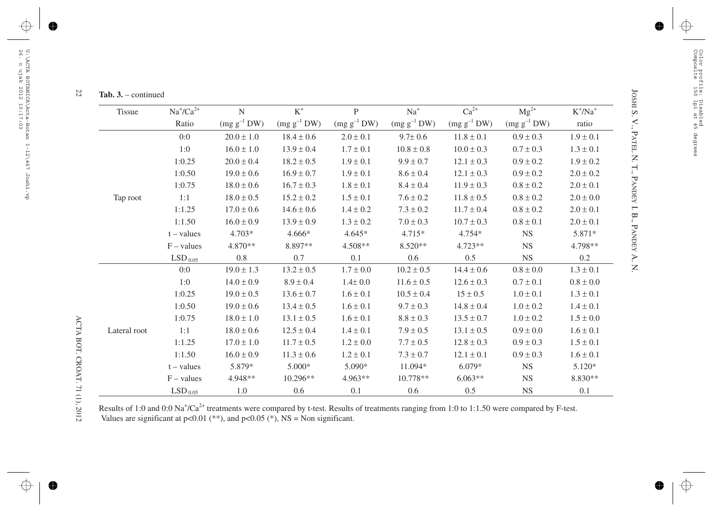# $\overline{z}$

| <b>Tissue</b> | $Na^{\dagger}/Ca^{2+}$  | ${\bf N}$       | $\mbox{K}^+$     | $\mathbf{P}$     | $Na+$            | $Ca^{2+}$        | $Mg^{2+}$        | $K^+/Na^+$    |
|---------------|-------------------------|-----------------|------------------|------------------|------------------|------------------|------------------|---------------|
|               | Ratio                   | $(mg g^{-1}DW)$ | $(mg g^{-1} DW)$ | $(mg g^{-1} DW)$ | $(mg g^{-1} DW)$ | $(mg g^{-1} DW)$ | $(mg g^{-1} DW)$ | ratio         |
|               | 0:0                     | $20.0 \pm 1.0$  | $18.4 \pm 0.6$   | $2.0 \pm 0.1$    | $9.7 \pm 0.6$    | $11.8 \pm 0.1$   | $0.9 \pm 0.3$    | $1.9 \pm 0.1$ |
|               | 1:0                     | $16.0 \pm 1.0$  | $13.9 \pm 0.4$   | $1.7 \pm 0.1$    | $10.8 \pm 0.8$   | $10.0 \pm 0.3$   | $0.7 \pm 0.3$    | $1.3 \pm 0.1$ |
|               | 1:0.25                  | $20.0 \pm 0.4$  | $18.2 \pm 0.5$   | $1.9 \pm 0.1$    | $9.9 \pm 0.7$    | $12.1 \pm 0.3$   | $0.9 \pm 0.2$    | $1.9 \pm 0.2$ |
|               | 1:0.50                  | $19.0 \pm 0.6$  | $16.9 \pm 0.7$   | $1.9 \pm 0.1$    | $8.6 \pm 0.4$    | $12.1 \pm 0.3$   | $0.9 \pm 0.2$    | $2.0 \pm 0.2$ |
|               | 1:0.75                  | $18.0 \pm 0.6$  | $16.7 \pm 0.3$   | $1.8 \pm 0.1$    | $8.4 \pm 0.4$    | $11.9 \pm 0.3$   | $0.8 \pm 0.2$    | $2.0 \pm 0.1$ |
| Tap root      | 1:1                     | $18.0 \pm 0.5$  | $15.2 \pm 0.2$   | $1.5 \pm 0.1$    | $7.6 \pm 0.2$    | $11.8 \pm 0.5$   | $0.8 \pm 0.2$    | $2.0 \pm 0.0$ |
|               | 1:1.25                  | $17.0 \pm 0.6$  | $14.6 \pm 0.6$   | $1.4 \pm 0.2$    | $7.3 \pm 0.2$    | $11.7 \pm 0.4$   | $0.8 \pm 0.2$    | $2.0 \pm 0.1$ |
|               | 1:1.50                  | $16.0 \pm 0.9$  | $13.9 \pm 0.9$   | $1.3 \pm 0.2$    | $7.0 \pm 0.3$    | $10.7 \pm 0.3$   | $0.8 \pm 0.1$    | $2.0 \pm 0.1$ |
|               | $t - values$            | $4.703*$        | $4.666*$         | $4.645*$         | $4.715*$         | $4.754*$         | <b>NS</b>        | 5.871*        |
|               | $F - values$            | 4.870**         | 8.897**          | $4.508**$        | $8.520**$        | $4.723**$        | <b>NS</b>        | 4.798**       |
|               | $\mathrm{LSD}_{\,0.05}$ | 0.8             | 0.7              | 0.1              | 0.6              | 0.5              | <b>NS</b>        | 0.2           |
|               | 0:0                     | $19.0 \pm 1.3$  | $13.2 \pm 0.5$   | $1.7\pm0.0$      | $10.2 \pm 0.5$   | $14.4 \pm 0.6$   | $0.8 \pm 0.0$    | $1.3 \pm 0.1$ |
|               | 1:0                     | $14.0 \pm 0.9$  | $8.9 \pm 0.4$    | $1.4 \pm 0.0$    | $11.6 \pm 0.5$   | $12.6 \pm 0.3$   | $0.7 \pm 0.1$    | $0.8 \pm 0.0$ |
|               | 1:0.25                  | $19.0 \pm 0.5$  | $13.6 \pm 0.7$   | $1.6 \pm 0.1$    | $10.5 \pm 0.4$   | $15 \pm 0.5$     | $1.0 \pm 0.1$    | $1.3 \pm 0.1$ |
|               | 1:0.50                  | $19.0 \pm 0.6$  | $13.4 \pm 0.5$   | $1.6 \pm 0.1$    | $9.7 \pm 0.3$    | $14.8 \pm 0.4$   | $1.0 \pm 0.2$    | $1.4 \pm 0.1$ |
|               | 1:0.75                  | $18.0 \pm 1.0$  | $13.1 \pm 0.5$   | $1.6 \pm 0.1$    | $8.8 \pm 0.3$    | $13.5 \pm 0.7$   | $1.0 \pm 0.2$    | $1.5 \pm 0.0$ |
| Lateral root  | 1:1                     | $18.0 \pm 0.6$  | $12.5 \pm 0.4$   | $1.4 \pm 0.1$    | $7.9 \pm 0.5$    | $13.1 \pm 0.5$   | $0.9 \pm 0.0$    | $1.6 \pm 0.1$ |
|               | 1:1.25                  | $17.0 \pm 1.0$  | $11.7 \pm 0.5$   | $1.2 \pm 0.0$    | $7.7 \pm 0.5$    | $12.8 \pm 0.3$   | $0.9 \pm 0.3$    | $1.5 \pm 0.1$ |
|               | 1:1.50                  | $16.0 \pm 0.9$  | $11.3 \pm 0.6$   | $1.2 \pm 0.1$    | $7.3 \pm 0.7$    | $12.1 \pm 0.1$   | $0.9 \pm 0.3$    | $1.6 \pm 0.1$ |
|               | $t - values$            | 5.879*          | 5.000*           | 5.090*           | 11.094*          | $6.079*$         | <b>NS</b>        | $5.120*$      |
|               | $F - values$            | 4.948**         | $10.296**$       | $4.963**$        | 10.778**         | $6.063**$        | <b>NS</b>        | 8.830**       |
|               | LSD <sub>0.05</sub>     | 1.0             | 0.6              | 0.1              | 0.6              | 0.5              | <b>NS</b>        | 0.1           |

Results of 1:0 and 0:0 Na<sup>+</sup>/Ca<sup>2+</sup> treatments were compared by t-test. Results of treatments ranging from 1:0 to 1:1.50 were compared by F-test. Values are significant at  $p<0.01$  (\*\*), and  $p<0.05$  (\*), NS = Non significant.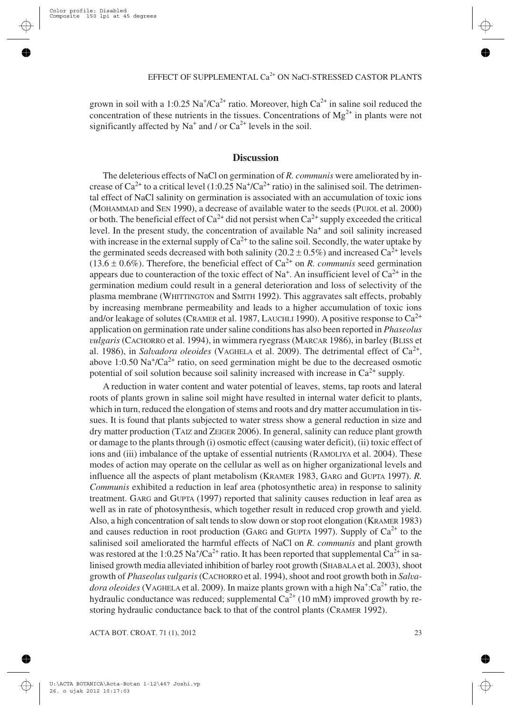grown in soil with a 1:0.25 Na<sup>+</sup>/Ca<sup>2+</sup> ratio. Moreover, high Ca<sup>2+</sup> in saline soil reduced the concentration of these nutrients in the tissues. Concentrations of  $Mg^{2+}$  in plants were not significantly affected by  $Na^+$  and / or  $Ca^{2+}$  levels in the soil.

## **Discussion**

The deleterious effects of NaCl on germination of *R. communis* were ameliorated by increase of  $Ca^{2+}$  to a critical level (1:0.25 Na<sup>+</sup>/Ca<sup>2+</sup> ratio) in the salinised soil. The detrimental effect of NaCl salinity on germination is associated with an accumulation of toxic ions (MOHAMMAD and SEN 1990), a decrease of available water to the seeds (PUJOL et al. 2000) or both. The beneficial effect of  $Ca^{2+}$  did not persist when  $Ca^{2+}$  supply exceeded the critical level. In the present study, the concentration of available  $Na<sup>+</sup>$  and soil salinity increased with increase in the external supply of  $Ca^{2+}$  to the saline soil. Secondly, the water uptake by the germinated seeds decreased with both salinity (20.2  $\pm$  0.5%) and increased Ca<sup>2+</sup> levels  $(13.6 \pm 0.6\%)$ . Therefore, the beneficial effect of Ca<sup>2+</sup> on *R. communis* seed germination appears due to counteraction of the toxic effect of Na<sup>+</sup>. An insufficient level of  $Ca^{2+}$  in the germination medium could result in a general deterioration and loss of selectivity of the plasma membrane (WHITTINGTON and SMITH 1992). This aggravates salt effects, probably by increasing membrane permeability and leads to a higher accumulation of toxic ions and/or leakage of solutes (CRAMER et al. 1987, LAUCHLI 1990). A positive response to  $Ca^{2+}$ application on germination rate under saline conditions has also been reported in *Phaseolus vulgaris* (CACHORRO et al. 1994), in wimmera ryegrass (MARCAR 1986), in barley (BLISS et al. 1986), in *Salvadora oleoides* (VAGHELA et al. 2009). The detrimental effect of Ca2+, above 1:0.50  $\text{Na}^+\text{/Ca}^2$  ratio, on seed germination might be due to the decreased osmotic potential of soil solution because soil salinity increased with increase in  $Ca^{2+}$  supply.

A reduction in water content and water potential of leaves, stems, tap roots and lateral roots of plants grown in saline soil might have resulted in internal water deficit to plants, which in turn, reduced the elongation of stems and roots and dry matter accumulation in tissues. It is found that plants subjected to water stress show a general reduction in size and dry matter production (TAIZ and ZEIGER 2006). In general, salinity can reduce plant growth or damage to the plants through (i) osmotic effect (causing water deficit), (ii) toxic effect of ions and (iii) imbalance of the uptake of essential nutrients (RAMOLIYA et al. 2004). These modes of action may operate on the cellular as well as on higher organizational levels and influence all the aspects of plant metabolism (KRAMER 1983, GARG and GUPTA 1997). *R. Communis* exhibited a reduction in leaf area (photosynthetic area) in response to salinity treatment. GARG and GUPTA (1997) reported that salinity causes reduction in leaf area as well as in rate of photosynthesis, which together result in reduced crop growth and yield. Also, a high concentration of salt tends to slow down or stop root elongation (KRAMER 1983) and causes reduction in root production (GARG and GUPTA 1997). Supply of  $Ca^{2+}$  to the salinised soil ameliorated the harmful effects of NaCl on *R. communis* and plant growth was restored at the 1:0.25 Na<sup>+</sup>/Ca<sup>2+</sup> ratio. It has been reported that supplemental Ca<sup>2+</sup> in salinised growth media alleviated inhibition of barley root growth (SHABALA et al. 2003), shoot growth of *Phaseolus vulgaris*(CACHORRO et al. 1994), shoot and root growth both in *Salva*dora oleoides (VAGHELA et al. 2009). In maize plants grown with a high Na<sup>+</sup>:Ca<sup>2+</sup> ratio, the hydraulic conductance was reduced; supplemental  $Ca^{2+}$  (10 mM) improved growth by restoring hydraulic conductance back to that of the control plants (CRAMER 1992).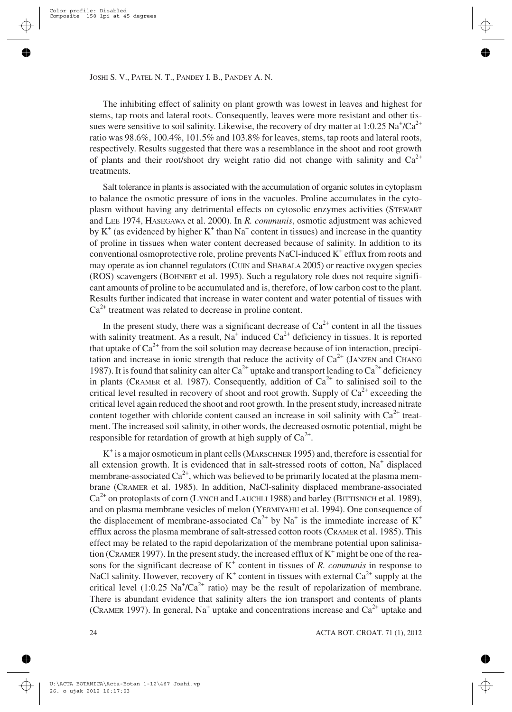The inhibiting effect of salinity on plant growth was lowest in leaves and highest for stems, tap roots and lateral roots. Consequently, leaves were more resistant and other tissues were sensitive to soil salinity. Likewise, the recovery of dry matter at 1:0.25  $\mathrm{Na^4/Ca^{2+}}$ ratio was 98.6%, 100.4%, 101.5% and 103.8% for leaves, stems, tap roots and lateral roots, respectively. Results suggested that there was a resemblance in the shoot and root growth of plants and their root/shoot dry weight ratio did not change with salinity and  $Ca^{2+}$ treatments.

Salt tolerance in plants is associated with the accumulation of organic solutes in cytoplasm to balance the osmotic pressure of ions in the vacuoles. Proline accumulates in the cytoplasm without having any detrimental effects on cytosolic enzymes activities (STEWART and LEE 1974, HASEGAWA et al. 2000). In *R. communis*, osmotic adjustment was achieved by  $K^+$  (as evidenced by higher  $K^+$  than Na<sup>+</sup> content in tissues) and increase in the quantity of proline in tissues when water content decreased because of salinity. In addition to its conventional osmoprotective role, proline prevents NaCl-induced  $K^+$  efflux from roots and may operate as ion channel regulators (CUIN and SHABALA 2005) or reactive oxygen species (ROS) scavengers (BOHNERT et al. 1995). Such a regulatory role does not require significant amounts of proline to be accumulated and is, therefore, of low carbon cost to the plant. Results further indicated that increase in water content and water potential of tissues with  $Ca<sup>2+</sup>$  treatment was related to decrease in proline content.

In the present study, there was a significant decrease of  $Ca^{2+}$  content in all the tissues with salinity treatment. As a result,  $N_a^+$  induced  $Ca^{2+}$  deficiency in tissues. It is reported that uptake of  $Ca^{2+}$  from the soil solution may decrease because of ion interaction, precipitation and increase in ionic strength that reduce the activity of  $Ca<sup>2+</sup>$  (JANZEN and CHANG 1987). It is found that salinity can alter  $Ca^{2+}$  uptake and transport leading to  $Ca^{2+}$  deficiency in plants (CRAMER et al. 1987). Consequently, addition of  $Ca^{2+}$  to salinised soil to the critical level resulted in recovery of shoot and root growth. Supply of  $Ca^{2+}$  exceeding the critical level again reduced the shoot and root growth. In the present study, increased nitrate content together with chloride content caused an increase in soil salinity with  $Ca^{2+}$  treatment. The increased soil salinity, in other words, the decreased osmotic potential, might be responsible for retardation of growth at high supply of  $Ca^{2+}$ .

 $K^+$  is a major osmoticum in plant cells (MARSCHNER 1995) and, therefore is essential for all extension growth. It is evidenced that in salt-stressed roots of cotton,  $Na<sup>+</sup>$  displaced membrane-associated  $Ca^{2+}$ , which was believed to be primarily located at the plasma membrane (CRAMER et al. 1985). In addition, NaCl-salinity displaced membrane-associated  $Ca^{2+}$  on protoplasts of corn (LYNCH and LAUCHLI 1988) and barley (BITTISNICH et al. 1989), and on plasma membrane vesicles of melon (YERMIYAHU et al. 1994). One consequence of the displacement of membrane-associated  $Ca^{2+}$  by Na<sup>+</sup> is the immediate increase of K<sup>+</sup> efflux across the plasma membrane of salt-stressed cotton roots (CRAMER et al. 1985). This effect may be related to the rapid depolarization of the membrane potential upon salinisation (CRAMER 1997). In the present study, the increased efflux of  $K^+$  might be one of the reasons for the significant decrease of  $K^+$  content in tissues of *R. communis* in response to NaCl salinity. However, recovery of  $K^+$  content in tissues with external  $Ca^{2+}$  supply at the critical level (1:0.25  $\text{Na}^{\dagger}/\text{Ca}^{2+}$  ratio) may be the result of repolarization of membrane. There is abundant evidence that salinity alters the ion transport and contents of plants (CRAMER 1997). In general,  $Na<sup>+</sup>$  uptake and concentrations increase and  $Ca<sup>2+</sup>$  uptake and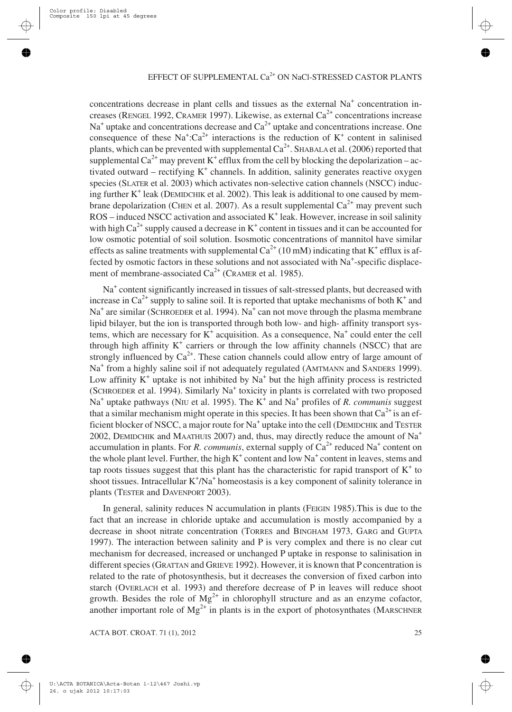concentrations decrease in plant cells and tissues as the external  $Na<sup>+</sup>$  concentration increases (RENGEL 1992, CRAMER 1997). Likewise, as external  $Ca^{2+}$  concentrations increase  $Na<sup>+</sup>$  uptake and concentrations decrease and  $Ca<sup>2+</sup>$  uptake and concentrations increase. One consequence of these  $Na^+$ : $Ca^{2+}$  interactions is the reduction of  $K^+$  content in salinised plants, which can be prevented with supplemental  $Ca^{2+}$ . SHABALA et al. (2006) reported that supplemental  $Ca^{2+}$  may prevent K<sup>+</sup> efflux from the cell by blocking the depolarization – activated outward – rectifying  $K^+$  channels. In addition, salinity generates reactive oxygen species (SLATER et al. 2003) which activates non-selective cation channels (NSCC) inducing further  $K^+$  leak (DEMIDCHIK et al. 2002). This leak is additional to one caused by membrane depolarization (CHEN et al. 2007). As a result supplemental  $Ca^{2+}$  may prevent such  $ROS - induced NSCC$  activation and associated  $K^+$  leak. However, increase in soil salinity with high  $Ca^{2+}$  supply caused a decrease in  $K^+$  content in tissues and it can be accounted for low osmotic potential of soil solution. Isosmotic concentrations of mannitol have similar effects as saline treatments with supplemental  $Ca^{2+}$  (10 mM) indicating that K<sup>+</sup> efflux is affected by osmotic factors in these solutions and not associated with Na<sup>+</sup>-specific displacement of membrane-associated  $Ca^{2+}$  (CRAMER et al. 1985).

Na<sup>+</sup> content significantly increased in tissues of salt-stressed plants, but decreased with increase in  $Ca^{2+}$  supply to saline soil. It is reported that uptake mechanisms of both  $K^+$  and  $Na<sup>+</sup>$  are similar (SCHROEDER et al. 1994). Na<sup>+</sup> can not move through the plasma membrane lipid bilayer, but the ion is transported through both low- and high- affinity transport systems, which are necessary for  $K^+$  acquisition. As a consequence,  $Na^+$  could enter the cell through high affinity  $K^+$  carriers or through the low affinity channels (NSCC) that are strongly influenced by  $Ca^{2+}$ . These cation channels could allow entry of large amount of Na<sup>+</sup> from a highly saline soil if not adequately regulated (AMTMANN and SANDERS 1999). Low affinity  $K^+$  uptake is not inhibited by  $Na^+$  but the high affinity process is restricted (SCHROEDER et al. 1994). Similarly Na<sup>+</sup> toxicity in plants is correlated with two proposed Na<sup>+</sup> uptake pathways (NIU et al. 1995). The K<sup>+</sup> and Na<sup>+</sup> profiles of *R. communis* suggest that a similar mechanism might operate in this species. It has been shown that  $Ca^{2+}$  is an efficient blocker of NSCC, a major route for  $Na<sup>+</sup>$  uptake into the cell (DEMIDCHIK and TESTER 2002, DEMIDCHIK and MAATHUIS 2007) and, thus, may directly reduce the amount of Na<sup>+</sup> accumulation in plants. For *R. communis*, external supply of  $Ca<sup>2+</sup>$  reduced Na<sup>+</sup> content on the whole plant level. Further, the high  $K^+$  content and low  $Na^+$  content in leaves, stems and tap roots tissues suggest that this plant has the characteristic for rapid transport of  $K<sup>+</sup>$  to shoot tissues. Intracellular  $K^+/Na^+$  homeostasis is a key component of salinity tolerance in plants (TESTER and DAVENPORT 2003).

In general, salinity reduces N accumulation in plants (FEIGIN 1985).This is due to the fact that an increase in chloride uptake and accumulation is mostly accompanied by a decrease in shoot nitrate concentration (TORRES and BINGHAM 1973, GARG and GUPTA 1997). The interaction between salinity and P is very complex and there is no clear cut mechanism for decreased, increased or unchanged P uptake in response to salinisation in different species (GRATTAN and GRIEVE 1992). However, it is known that P concentration is related to the rate of photosynthesis, but it decreases the conversion of fixed carbon into starch (OVERLACH et al. 1993) and therefore decrease of P in leaves will reduce shoot growth. Besides the role of  $Mg^{2+}$  in chlorophyll structure and as an enzyme cofactor, another important role of  $Mg^{2+}$  in plants is in the export of photosynthates (MARSCHNER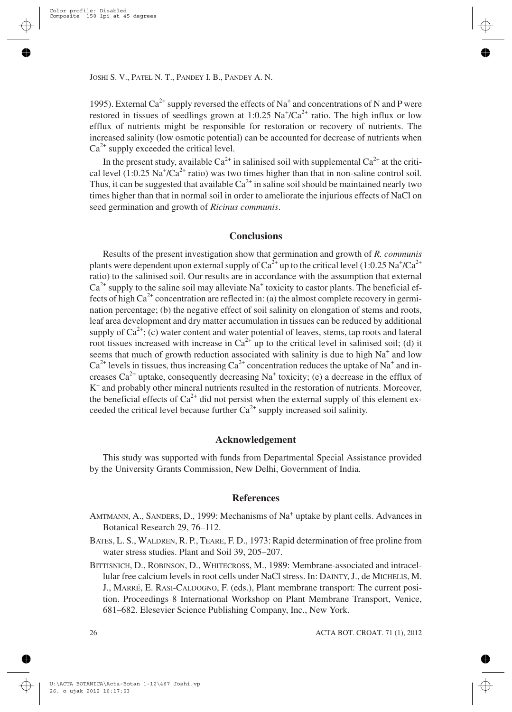1995). External Ca<sup>2+</sup> supply reversed the effects of Na<sup>+</sup> and concentrations of N and P were restored in tissues of seedlings grown at 1:0.25  $\text{Na}^{\dagger}/\text{Ca}^{2+}$  ratio. The high influx or low efflux of nutrients might be responsible for restoration or recovery of nutrients. The increased salinity (low osmotic potential) can be accounted for decrease of nutrients when  $Ca^{2+}$  supply exceeded the critical level.

In the present study, available  $Ca^{2+}$  in salinised soil with supplemental  $Ca^{2+}$  at the critical level  $(1:0.25 \text{ Na}^+/\text{Ca}^{2+} \text{ ratio})$  was two times higher than that in non-saline control soil. Thus, it can be suggested that available  $Ca^{2+}$  in saline soil should be maintained nearly two times higher than that in normal soil in order to ameliorate the injurious effects of NaCl on seed germination and growth of *Ricinus communis*.

## **Conclusions**

Results of the present investigation show that germination and growth of *R. communis* plants were dependent upon external supply of Ca $^{2+}$  up to the critical level (1:0.25 Na $^{\ast}$ /Ca $^{2+}$ ratio) to the salinised soil. Our results are in accordance with the assumption that external  $Ca^{2+}$  supply to the saline soil may alleviate Na<sup>+</sup> toxicity to castor plants. The beneficial effects of high  $Ca^{2+}$  concentration are reflected in: (a) the almost complete recovery in germination percentage; (b) the negative effect of soil salinity on elongation of stems and roots, leaf area development and dry matter accumulation in tissues can be reduced by additional supply of  $Ca^{2+}$ ; (c) water content and water potential of leaves, stems, tap roots and lateral root tissues increased with increase in  $Ca^{2+}$  up to the critical level in salinised soil; (d) it seems that much of growth reduction associated with salinity is due to high  $Na<sup>+</sup>$  and low  $Ca<sup>2+</sup>$  levels in tissues, thus increasing  $Ca<sup>2+</sup>$  concentration reduces the uptake of Na<sup>+</sup> and increases  $Ca^{2+}$  uptake, consequently decreasing Na<sup>+</sup> toxicity; (e) a decrease in the efflux of K<sup>+</sup> and probably other mineral nutrients resulted in the restoration of nutrients. Moreover, the beneficial effects of  $Ca^{2+}$  did not persist when the external supply of this element exceeded the critical level because further  $Ca^{2+}$  supply increased soil salinity.

#### **Acknowledgement**

This study was supported with funds from Departmental Special Assistance provided by the University Grants Commission, New Delhi, Government of India.

#### **References**

- AMTMANN, A., SANDERS, D., 1999: Mechanisms of Na<sup>+</sup> uptake by plant cells. Advances in Botanical Research 29, 76–112.
- BATES, L. S., WALDREN, R. P., TEARE, F. D., 1973: Rapid determination of free proline from water stress studies. Plant and Soil 39, 205–207.
- BITTISNICH, D., ROBINSON, D., WHITECROSS, M., 1989: Membrane-associated and intracellular free calcium levels in root cells under NaCl stress. In: DAINTY, J., de MICHELIS, M. J., MARRÉ, E. RASI-CALDOGNO, F. (eds.), Plant membrane transport: The current position. Proceedings 8 International Workshop on Plant Membrane Transport, Venice, 681–682. Elesevier Science Publishing Company, Inc., New York.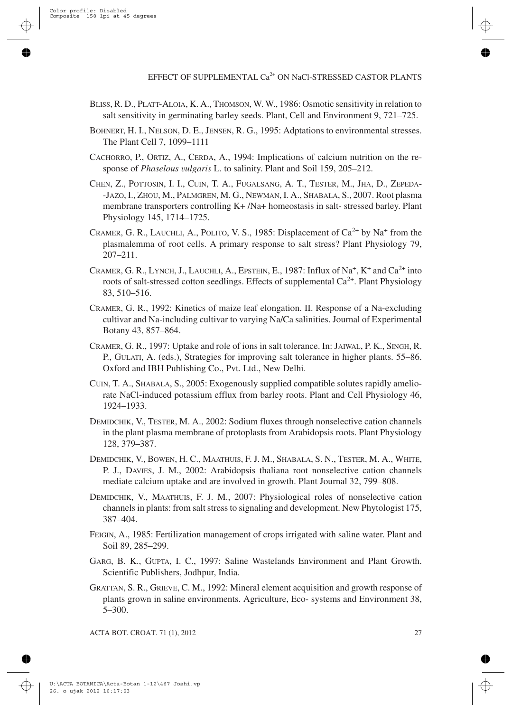- BLISS, R. D., PLATT-ALOIA, K. A., THOMSON, W. W., 1986: Osmotic sensitivity in relation to salt sensitivity in germinating barley seeds. Plant, Cell and Environment 9, 721–725.
- BOHNERT, H. I., NELSON, D. E., JENSEN, R. G., 1995: Adptations to environmental stresses. The Plant Cell 7, 1099–1111
- CACHORRO, P., ORTIZ, A., CERDA, A., 1994: Implications of calcium nutrition on the response of *Phaselous vulgaris* L. to salinity. Plant and Soil 159, 205–212.
- CHEN, Z., POTTOSIN, I. I., CUIN, T. A., FUGALSANG, A. T., TESTER, M., JHA, D., ZEPEDA- -JAZO, I., ZHOU, M., PALMGREN, M. G., NEWMAN, I. A., SHABALA, S., 2007. Root plasma membrane transporters controlling K+ /Na+ homeostasis in salt- stressed barley. Plant Physiology 145, 1714–1725.
- CRAMER, G. R., LAUCHLI, A., POLITO, V. S., 1985: Displacement of  $Ca<sup>2+</sup>$  by Na<sup>+</sup> from the plasmalemma of root cells. A primary response to salt stress? Plant Physiology 79, 207–211.
- CRAMER, G. R., LYNCH, J., LAUCHLI, A., EPSTEIN, E., 1987: Influx of Na<sup>+</sup>, K<sup>+</sup> and Ca<sup>2+</sup> into roots of salt-stressed cotton seedlings. Effects of supplemental  $Ca^{2+}$ . Plant Physiology 83, 510–516.
- CRAMER, G. R., 1992: Kinetics of maize leaf elongation. II. Response of a Na-excluding cultivar and Na-including cultivar to varying Na/Ca salinities. Journal of Experimental Botany 43, 857–864.
- CRAMER, G. R., 1997: Uptake and role of ions in salt tolerance. In: JAIWAL, P. K., SINGH, R. P., GULATI, A. (eds.), Strategies for improving salt tolerance in higher plants. 55–86. Oxford and IBH Publishing Co., Pvt. Ltd., New Delhi.
- CUIN, T. A., SHABALA, S., 2005: Exogenously supplied compatible solutes rapidly ameliorate NaCl-induced potassium efflux from barley roots. Plant and Cell Physiology 46, 1924–1933.
- DEMIDCHIK, V., TESTER, M. A., 2002: Sodium fluxes through nonselective cation channels in the plant plasma membrane of protoplasts from Arabidopsis roots. Plant Physiology 128, 379–387.
- DEMIDCHIK, V., BOWEN, H. C., MAATHUIS, F. J. M., SHABALA, S. N., TESTER, M. A., WHITE, P. J., DAVIES, J. M., 2002: Arabidopsis thaliana root nonselective cation channels mediate calcium uptake and are involved in growth. Plant Journal 32, 799–808.
- DEMIDCHIK, V., MAATHUIS, F. J. M., 2007: Physiological roles of nonselective cation channels in plants: from salt stress to signaling and development. New Phytologist 175, 387–404.
- FEIGIN, A., 1985: Fertilization management of crops irrigated with saline water. Plant and Soil 89, 285–299.
- GARG, B. K., GUPTA, I. C., 1997: Saline Wastelands Environment and Plant Growth. Scientific Publishers, Jodhpur, India.
- GRATTAN, S. R., GRIEVE, C. M., 1992: Mineral element acquisition and growth response of plants grown in saline environments. Agriculture, Eco- systems and Environment 38, 5–300.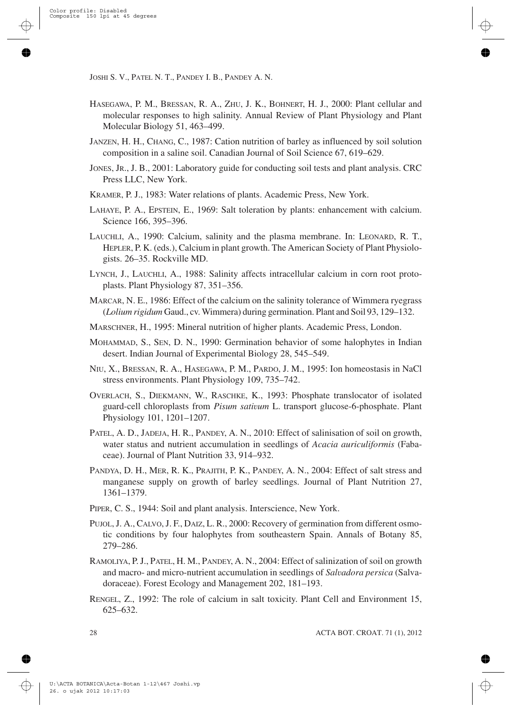- HASEGAWA, P. M., BRESSAN, R. A., ZHU, J. K., BOHNERT, H. J., 2000: Plant cellular and molecular responses to high salinity. Annual Review of Plant Physiology and Plant Molecular Biology 51, 463–499.
- JANZEN, H. H., CHANG, C., 1987: Cation nutrition of barley as influenced by soil solution composition in a saline soil. Canadian Journal of Soil Science 67, 619–629.
- JONES, JR., J. B., 2001: Laboratory guide for conducting soil tests and plant analysis. CRC Press LLC, New York.
- KRAMER, P. J., 1983: Water relations of plants. Academic Press, New York.
- LAHAYE, P. A., EPSTEIN, E., 1969: Salt toleration by plants: enhancement with calcium. Science 166, 395–396.
- LAUCHLI, A., 1990: Calcium, salinity and the plasma membrane. In: LEONARD, R. T., HEPLER, P. K. (eds.), Calcium in plant growth. The American Society of Plant Physiologists. 26–35. Rockville MD.
- LYNCH, J., LAUCHLI, A., 1988: Salinity affects intracellular calcium in corn root protoplasts. Plant Physiology 87, 351–356.
- MARCAR, N. E., 1986: Effect of the calcium on the salinity tolerance of Wimmera ryegrass (*Lolium rigidum* Gaud., cv. Wimmera) during germination. Plant and Soil 93, 129–132.
- MARSCHNER, H., 1995: Mineral nutrition of higher plants. Academic Press, London.
- MOHAMMAD, S., SEN, D. N., 1990: Germination behavior of some halophytes in Indian desert. Indian Journal of Experimental Biology 28, 545–549.
- NIU, X., BRESSAN, R. A., HASEGAWA, P. M., PARDO, J. M., 1995: Ion homeostasis in NaCl stress environments. Plant Physiology 109, 735–742.
- OVERLACH, S., DIEKMANN, W., RASCHKE, K., 1993: Phosphate translocator of isolated guard-cell chloroplasts from *Pisum sativum* L. transport glucose-6-phosphate. Plant Physiology 101, 1201–1207.
- PATEL, A. D., JADEJA, H. R., PANDEY, A. N., 2010: Effect of salinisation of soil on growth, water status and nutrient accumulation in seedlings of *Acacia auriculiformis* (Fabaceae). Journal of Plant Nutrition 33, 914–932.
- PANDYA, D. H., MER, R. K., PRAJITH, P. K., PANDEY, A. N., 2004: Effect of salt stress and manganese supply on growth of barley seedlings. Journal of Plant Nutrition 27, 1361–1379.
- PIPER, C. S., 1944: Soil and plant analysis. Interscience, New York.
- PUJOL, J. A., CALVO, J. F., DAIZ, L. R., 2000: Recovery of germination from different osmotic conditions by four halophytes from southeastern Spain. Annals of Botany 85, 279–286.
- RAMOLIYA, P. J., PATEL, H. M., PANDEY, A. N., 2004: Effect of salinization of soil on growth and macro- and micro-nutrient accumulation in seedlings of *Salvadora persica* (Salvadoraceae). Forest Ecology and Management 202, 181–193.
- RENGEL, Z., 1992: The role of calcium in salt toxicity. Plant Cell and Environment 15, 625–632.